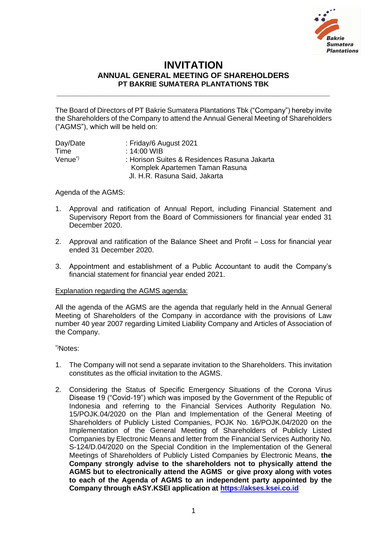

## **INVITATION ANNUAL GENERAL MEETING OF SHAREHOLDERS PT BAKRIE SUMATERA PLANTATIONS TBK**

**\_\_\_\_\_\_\_\_\_\_\_\_\_\_\_\_\_\_\_\_\_\_\_\_\_\_\_\_\_\_\_\_\_\_\_\_\_\_\_\_\_\_\_\_\_\_\_\_\_\_\_\_\_\_\_\_\_\_\_\_\_\_\_**

The Board of Directors of PT Bakrie Sumatera Plantations Tbk ("Company") hereby invite the Shareholders of the Company to attend the Annual General Meeting of Shareholders ("AGMS"), which will be held on:

| Day/Date            | : Friday/6 August 2021                       |
|---------------------|----------------------------------------------|
| Time                | : 14:00 WIB                                  |
| Venue <sup>*)</sup> | : Horison Suites & Residences Rasuna Jakarta |
|                     | Komplek Apartemen Taman Rasuna               |
|                     | Jl. H.R. Rasuna Said, Jakarta                |

Agenda of the AGMS:

- 1. Approval and ratification of Annual Report, including Financial Statement and Supervisory Report from the Board of Commissioners for financial year ended 31 December 2020.
- 2. Approval and ratification of the Balance Sheet and Profit Loss for financial year ended 31 December 2020.
- 3. Appointment and establishment of a Public Accountant to audit the Company's financial statement for financial year ended 2021.

## Explanation regarding the AGMS agenda:

All the agenda of the AGMS are the agenda that regularly held in the Annual General Meeting of Shareholders of the Company in accordance with the provisions of Law number 40 year 2007 regarding Limited Liability Company and Articles of Association of the Company.

\*)Notes:

- 1. The Company will not send a separate invitation to the Shareholders. This invitation constitutes as the official invitation to the AGMS.
- 2. Considering the Status of Specific Emergency Situations of the Corona Virus Disease 19 ("Covid-19") which was imposed by the Government of the Republic of Indonesia and referring to the Financial Services Authority Regulation No. 15/POJK.04/2020 on the Plan and Implementation of the General Meeting of Shareholders of Publicly Listed Companies, POJK No. 16/POJK.04/2020 on the Implementation of the General Meeting of Shareholders of Publicly Listed Companies by Electronic Means and letter from the Financial Services Authority No. S-124/D.04/2020 on the Special Condition in the Implementation of the General Meetings of Shareholders of Publicly Listed Companies by Electronic Means, **the Company strongly advise to the shareholders not to physically attend the AGMS but to electronically attend the AGMS or give proxy along with votes to each of the Agenda of AGMS to an independent party appointed by the Company through eASY.KSEI application at [https://akses.ksei.co.id](https://akses.ksei.co.id/)**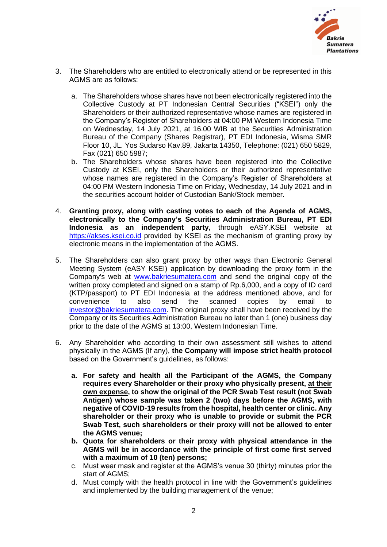

- 3. The Shareholders who are entitled to electronically attend or be represented in this AGMS are as follows:
	- a. The Shareholders whose shares have not been electronically registered into the Collective Custody at PT Indonesian Central Securities ("KSEI") only the Shareholders or their authorized representative whose names are registered in the Company's Register of Shareholders at 04:00 PM Western Indonesia Time on Wednesday, 14 July 2021, at 16.00 WIB at the Securities Administration Bureau of the Company (Shares Registrar), PT EDI Indonesia, Wisma SMR Floor 10, JL. Yos Sudarso Kav.89, Jakarta 14350, Telephone: (021) 650 5829, Fax (021) 650 5987;
	- b. The Shareholders whose shares have been registered into the Collective Custody at KSEI, only the Shareholders or their authorized representative whose names are registered in the Company's Register of Shareholders at 04:00 PM Western Indonesia Time on Friday, Wednesday, 14 July 2021 and in the securities account holder of Custodian Bank/Stock member.
- 4. **Granting proxy, along with casting votes to each of the Agenda of AGMS, electronically to the Company's Securities Administration Bureau, PT EDI Indonesia as an independent party,** through eASY.KSEI website at [https://akses.ksei.co.id](https://akses.ksei.co.id/) provided by KSEI as the mechanism of granting proxy by electronic means in the implementation of the AGMS.
- 5. The Shareholders can also grant proxy by other ways than Electronic General Meeting System (eASY KSEI) application by downloading the proxy form in the Company's web at [www.bakriesumatera.com](http://www.bakriesumatera.com/) and send the original copy of the written proxy completed and signed on a stamp of Rp.6,000, and a copy of ID card (KTP/passport) to PT EDI Indonesia at the address mentioned above, and for convenience to also send the scanned copies by email to [investor@bakriesumatera.com.](mailto:investor@bakriesumatera.com) The original proxy shall have been received by the Company or its Securities Administration Bureau no later than 1 (one) business day prior to the date of the AGMS at 13:00, Western Indonesian Time.
- 6. Any Shareholder who according to their own assessment still wishes to attend physically in the AGMS (If any), **the Company will impose strict health protocol** based on the Government's guidelines, as follows:
	- **a. For safety and health all the Participant of the AGMS, the Company requires every Shareholder or their proxy who physically present, at their own expense, to show the original of the PCR Swab Test result (not Swab Antigen) whose sample was taken 2 (two) days before the AGMS, with negative of COVID-19 results from the hospital, health center or clinic. Any shareholder or their proxy who is unable to provide or submit the PCR Swab Test, such shareholders or their proxy will not be allowed to enter the AGMS venue;**
	- **b. Quota for shareholders or their proxy with physical attendance in the AGMS will be in accordance with the principle of first come first served with a maximum of 10 (ten) persons;**
	- c. Must wear mask and register at the AGMS's venue 30 (thirty) minutes prior the start of AGMS;
	- d. Must comply with the health protocol in line with the Government's guidelines and implemented by the building management of the venue;